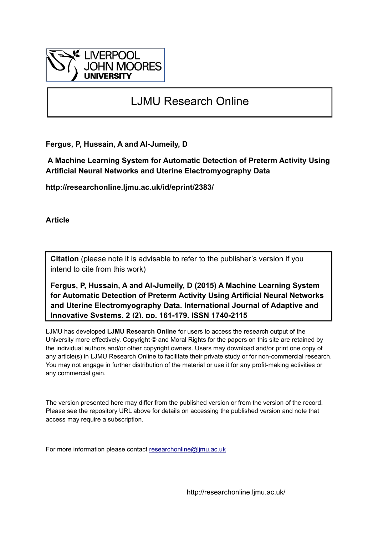

# LJMU Research Online

**Fergus, P, Hussain, A and Al-Jumeily, D**

 **A Machine Learning System for Automatic Detection of Preterm Activity Using Artificial Neural Networks and Uterine Electromyography Data**

**http://researchonline.ljmu.ac.uk/id/eprint/2383/**

**Article**

**Citation** (please note it is advisable to refer to the publisher's version if you intend to cite from this work)

**Fergus, P, Hussain, A and Al-Jumeily, D (2015) A Machine Learning System for Automatic Detection of Preterm Activity Using Artificial Neural Networks and Uterine Electromyography Data. International Journal of Adaptive and Innovative Systems, 2 (2). pp. 161-179. ISSN 1740-2115** 

LJMU has developed **[LJMU Research Online](http://researchonline.ljmu.ac.uk/)** for users to access the research output of the University more effectively. Copyright © and Moral Rights for the papers on this site are retained by the individual authors and/or other copyright owners. Users may download and/or print one copy of any article(s) in LJMU Research Online to facilitate their private study or for non-commercial research. You may not engage in further distribution of the material or use it for any profit-making activities or any commercial gain.

The version presented here may differ from the published version or from the version of the record. Please see the repository URL above for details on accessing the published version and note that access may require a subscription.

For more information please contact [researchonline@ljmu.ac.uk](mailto:researchonline@ljmu.ac.uk)

http://researchonline.ljmu.ac.uk/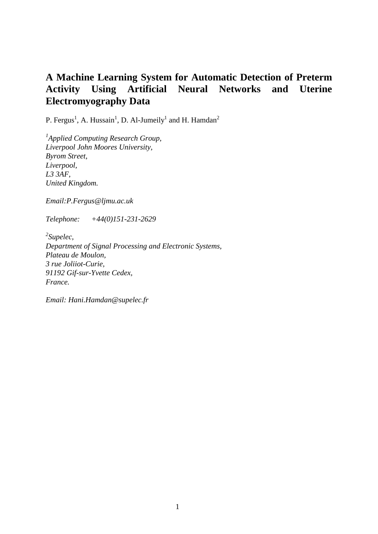## **A Machine Learning System for Automatic Detection of Preterm Activity Using Artificial Neural Networks and Uterine Electromyography Data**

P. Fergus<sup>1</sup>, A. Hussain<sup>1</sup>, D. Al-Jumeily<sup>1</sup> and H. Hamdan<sup>2</sup>

*1 Applied Computing Research Group, Liverpool John Moores University, Byrom Street, Liverpool, L3 3AF, United Kingdom.*

*Email:P.Fergus@ljmu.ac.uk*

*Telephone: +44(0)151-231-2629*

*2 Supelec, Department of Signal Processing and Electronic Systems, Plateau de Moulon, 3 rue Joliiot-Curie, 91192 Gif-sur-Yvette Cedex, France.*

*Email: Hani.Hamdan@supelec.fr*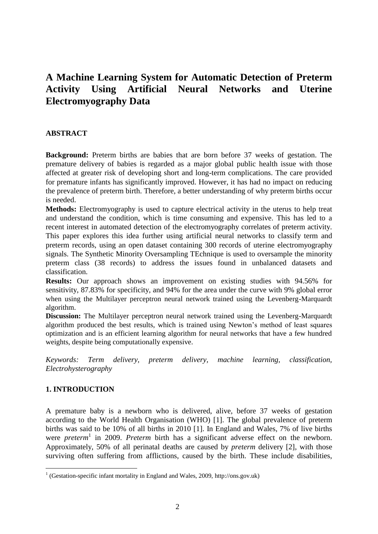## **A Machine Learning System for Automatic Detection of Preterm Activity Using Artificial Neural Networks and Uterine Electromyography Data**

#### **ABSTRACT**

**Background:** Preterm births are babies that are born before 37 weeks of gestation. The premature delivery of babies is regarded as a major global public health issue with those affected at greater risk of developing short and long-term complications. The care provided for premature infants has significantly improved. However, it has had no impact on reducing the prevalence of preterm birth. Therefore, a better understanding of why preterm births occur is needed.

**Methods:** Electromyography is used to capture electrical activity in the uterus to help treat and understand the condition, which is time consuming and expensive. This has led to a recent interest in automated detection of the electromyography correlates of preterm activity. This paper explores this idea further using artificial neural networks to classify term and preterm records, using an open dataset containing 300 records of uterine electromyography signals. The Synthetic Minority Oversampling TEchnique is used to oversample the minority preterm class (38 records) to address the issues found in unbalanced datasets and classification.

**Results:** Our approach shows an improvement on existing studies with 94.56% for sensitivity, 87.83% for specificity, and 94% for the area under the curve with 9% global error when using the Multilayer perceptron neural network trained using the Levenberg-Marquardt algorithm.

**Discussion:** The Multilayer perceptron neural network trained using the Levenberg-Marquardt algorithm produced the best results, which is trained using Newton's method of least squares optimization and is an efficient learning algorithm for neural networks that have a few hundred weights, despite being computationally expensive.

*Keywords: Term delivery, preterm delivery, machine learning, classification, Electrohysterography*

#### **1. INTRODUCTION**

1

A premature baby is a newborn who is delivered, alive, before 37 weeks of gestation according to the World Health Organisation (WHO) [1]. The global prevalence of preterm births was said to be 10% of all births in 2010 [1]. In England and Wales, 7% of live births were *preterm*<sup>1</sup> in 2009. Preterm birth has a significant adverse effect on the newborn. Approximately, 50% of all perinatal deaths are caused by *preterm* delivery [2], with those surviving often suffering from afflictions, caused by the birth. These include disabilities,

<sup>&</sup>lt;sup>1</sup> (Gestation-specific infant mortality in England and Wales, 2009, http://ons.gov.uk)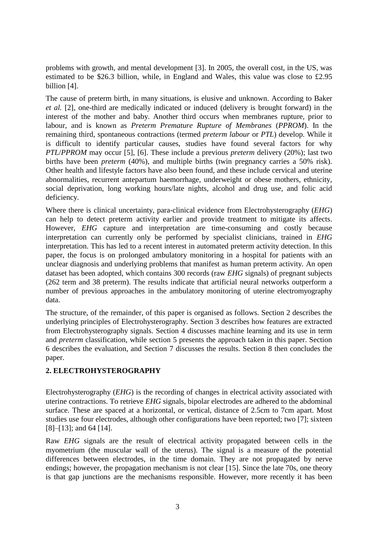problems with growth, and mental development [3]. In 2005, the overall cost, in the US, was estimated to be \$26.3 billion, while, in England and Wales, this value was close to £2.95 billion [4].

The cause of preterm birth, in many situations, is elusive and unknown. According to Baker *et al.* [2], one-third are medically indicated or induced (delivery is brought forward) in the interest of the mother and baby. Another third occurs when membranes rupture, prior to labour, and is known as *Preterm Premature Rupture of Membranes* (*PPROM*). In the remaining third, spontaneous contractions (termed *preterm labour* or *PTL*) develop. While it is difficult to identify particular causes, studies have found several factors for why *PTL*/*PPROM* may occur [5], [6]. These include a previous *preterm* delivery (20%); last two births have been *preterm* (40%), and multiple births (twin pregnancy carries a 50% risk). Other health and lifestyle factors have also been found, and these include cervical and uterine abnormalities, recurrent antepartum haemorrhage, underweight or obese mothers, ethnicity, social deprivation, long working hours/late nights, alcohol and drug use, and folic acid deficiency.

Where there is clinical uncertainty, para-clinical evidence from Electrohysterography (*EHG*) can help to detect preterm activity earlier and provide treatment to mitigate its affects. However, *EHG* capture and interpretation are time-consuming and costly because interpretation can currently only be performed by specialist clinicians, trained in *EHG* interpretation. This has led to a recent interest in automated preterm activity detection. In this paper, the focus is on prolonged ambulatory monitoring in a hospital for patients with an unclear diagnosis and underlying problems that manifest as human preterm activity. An open dataset has been adopted, which contains 300 records (raw *EHG* signals) of pregnant subjects (262 term and 38 preterm). The results indicate that artificial neural networks outperform a number of previous approaches in the ambulatory monitoring of uterine electromyography data.

The structure, of the remainder, of this paper is organised as follows. Section 2 describes the underlying principles of Electrohysterography. Section 3 describes how features are extracted from Electrohysterography signals. Section 4 discusses machine learning and its use in term and *preterm* classification, while section 5 presents the approach taken in this paper. Section 6 describes the evaluation, and Section 7 discusses the results. Section 8 then concludes the paper.

## **2. ELECTROHYSTEROGRAPHY**

Electrohysterography (*EHG*) is the recording of changes in electrical activity associated with uterine contractions. To retrieve *EHG* signals, bipolar electrodes are adhered to the abdominal surface. These are spaced at a horizontal, or vertical, distance of 2.5cm to 7cm apart. Most studies use four electrodes, although other configurations have been reported; two [7]; sixteen [8]–[13]; and 64 [14].

Raw *EHG* signals are the result of electrical activity propagated between cells in the myometrium (the muscular wall of the uterus). The signal is a measure of the potential differences between electrodes, in the time domain. They are not propagated by nerve endings; however, the propagation mechanism is not clear [15]. Since the late 70s, one theory is that gap junctions are the mechanisms responsible. However, more recently it has been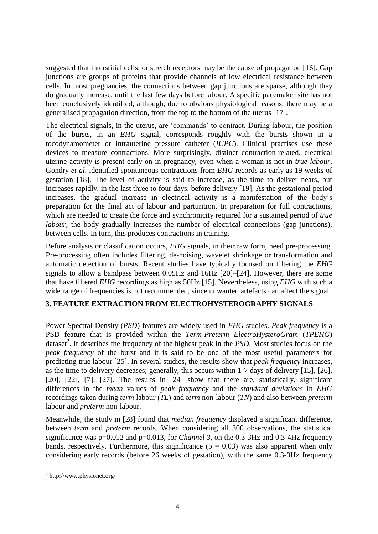suggested that interstitial cells, or stretch receptors may be the cause of propagation [16]. Gap junctions are groups of proteins that provide channels of low electrical resistance between cells. In most pregnancies, the connections between gap junctions are sparse, although they do gradually increase, until the last few days before labour. A specific pacemaker site has not been conclusively identified, although, due to obvious physiological reasons, there may be a generalised propagation direction, from the top to the bottom of the uterus [17].

The electrical signals, in the uterus, are 'commands' to contract. During labour, the position of the bursts, in an *EHG* signal, corresponds roughly with the bursts shown in a tocodynamometer or intrauterine pressure catheter (*IUPC*). Clinical practises use these devices to measure contractions. More surprisingly, distinct contraction-related, electrical uterine activity is present early on in pregnancy, even when a woman is not in *true labour*. Gondry *et al*. identified spontaneous contractions from *EHG* records as early as 19 weeks of gestation [18]. The level of activity is said to increase, as the time to deliver nears, but increases rapidly, in the last three to four days, before delivery [19]. As the gestational period increases, the gradual increase in electrical activity is a manifestation of the body's preparation for the final act of labour and parturition. In preparation for full contractions, which are needed to create the force and synchronicity required for a sustained period of *true labour*, the body gradually increases the number of electrical connections (gap junctions), between cells. In turn, this produces contractions in training.

Before analysis or classification occurs, *EHG* signals, in their raw form, need pre-processing. Pre-processing often includes filtering, de-noising, wavelet shrinkage or transformation and automatic detection of bursts. Recent studies have typically focused on filtering the *EHG* signals to allow a bandpass between 0.05Hz and 16Hz [20]–[24]. However, there are some that have filtered *EHG* recordings as high as 50Hz [15]. Nevertheless, using *EHG* with such a wide range of frequencies is not recommended, since unwanted artefacts can affect the signal.

#### **3. FEATURE EXTRACTION FROM ELECTROHYSTEROGRAPHY SIGNALS**

Power Spectral Density (*PSD*) features are widely used in *EHG* studies. *Peak frequency* is a PSD feature that is provided within the *Term-Preterm ElectroHysteroGram* (*TPEHG*) dataset<sup>2</sup>. It describes the frequency of the highest peak in the *PSD*. Most studies focus on the *peak frequency* of the burst and it is said to be one of the most useful parameters for predicting true labour [25]. In several studies, the results show that *peak frequency* increases, as the time to delivery decreases; generally, this occurs within 1-7 days of delivery [15], [26], [20], [22], [7], [27]. The results in [24] show that there are, statistically, significant differences in the *mean* values of *peak frequency* and the *standard deviations* in *EHG* recordings taken during *term* labour (*TL*) and *term* non-labour (*TN*) and also between *preterm* labour and *preterm* non-labour.

Meanwhile, the study in [28] found that *median frequency* displayed a significant difference, between *term* and *preterm* records. When considering all 300 observations, the statistical significance was p=0.012 and p=0.013, for *Channel 3*, on the 0.3-3Hz and 0.3-4Hz frequency bands, respectively. Furthermore, this significance ( $p = 0.03$ ) was also apparent when only considering early records (before 26 weeks of gestation), with the same 0.3-3Hz frequency

1

<sup>2</sup> http://www.physionet.org/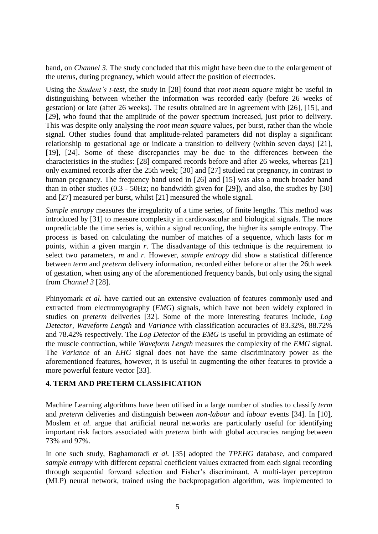band, on *Channel 3*. The study concluded that this might have been due to the enlargement of the uterus, during pregnancy, which would affect the position of electrodes.

Using the *Student's t-test*, the study in [28] found that *root mean square* might be useful in distinguishing between whether the information was recorded early (before 26 weeks of gestation) or late (after 26 weeks). The results obtained are in agreement with [26], [15], and [29], who found that the amplitude of the power spectrum increased, just prior to delivery. This was despite only analysing the *root mean square* values, per burst, rather than the whole signal. Other studies found that amplitude-related parameters did not display a significant relationship to gestational age or indicate a transition to delivery (within seven days) [21], [19], [24]. Some of these discrepancies may be due to the differences between the characteristics in the studies: [28] compared records before and after 26 weeks, whereas [21] only examined records after the 25th week; [30] and [27] studied rat pregnancy, in contrast to human pregnancy. The frequency band used in [26] and [15] was also a much broader band than in other studies (0.3 - 50Hz; no bandwidth given for [29]), and also, the studies by [30] and [27] measured per burst, whilst [21] measured the whole signal.

*Sample entropy* measures the irregularity of a time series, of finite lengths. This method was introduced by [31] to measure complexity in cardiovascular and biological signals. The more unpredictable the time series is, within a signal recording, the higher its sample entropy. The process is based on calculating the number of matches of a sequence, which lasts for *m* points, within a given margin *r*. The disadvantage of this technique is the requirement to select two parameters, *m* and *r*. However, *sample entropy* did show a statistical difference between *term* and *preterm* delivery information, recorded either before or after the 26th week of gestation, when using any of the aforementioned frequency bands, but only using the signal from *Channel 3* [28].

Phinyomark *et al.* have carried out an extensive evaluation of features commonly used and extracted from electromyography (*EMG*) signals, which have not been widely explored in studies on *preterm* deliveries [32]. Some of the more interesting features include, *Log Detector*, *Waveform Length* and *Variance* with classification accuracies of 83.32%, 88.72% and 78.42% respectively. The *Log Detector* of the *EMG* is useful in providing an estimate of the muscle contraction, while *Waveform Length* measures the complexity of the *EMG* signal. The *Variance* of an *EHG* signal does not have the same discriminatory power as the aforementioned features, however, it is useful in augmenting the other features to provide a more powerful feature vector [33].

#### **4. TERM AND PRETERM CLASSIFICATION**

Machine Learning algorithms have been utilised in a large number of studies to classify *term* and *preterm* deliveries and distinguish between *non-labour* and *labour* events [34]. In [10], Moslem *et al.* argue that artificial neural networks are particularly useful for identifying important risk factors associated with *preterm* birth with global accuracies ranging between 73% and 97%.

In one such study, Baghamoradi *et al.* [35] adopted the *TPEHG* database, and compared *sample entropy* with different cepstral coefficient values extracted from each signal recording through sequential forward selection and Fisher's discriminant. A multi-layer perceptron (MLP) neural network, trained using the backpropagation algorithm, was implemented to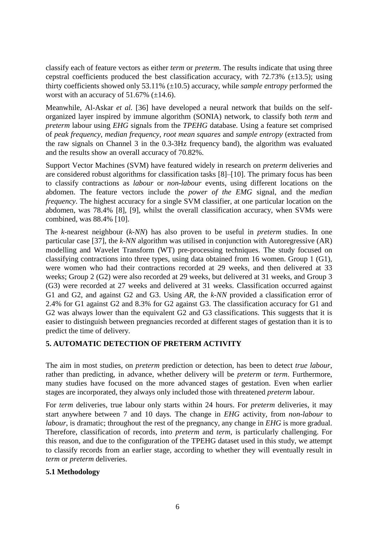classify each of feature vectors as either *term* or *preterm*. The results indicate that using three cepstral coefficients produced the best classification accuracy, with  $72.73\%$  ( $\pm$ 13.5); using thirty coefficients showed only 53.11% (±10.5) accuracy, while *sample entropy* performed the worst with an accuracy of  $51.67\%$  ( $\pm$ 14.6).

Meanwhile, Al-Askar *et al.* [36] have developed a neural network that builds on the selforganized layer inspired by immune algorithm (SONIA) network, to classify both *term* and *preterm* labour using *EHG* signals from the *TPEHG* database. Using a feature set comprised of *peak frequency*, *median frequency*, *root mean squares* and *sample entropy* (extracted from the raw signals on Channel 3 in the 0.3-3Hz frequency band), the algorithm was evaluated and the results show an overall accuracy of 70.82%.

Support Vector Machines (SVM) have featured widely in research on *preterm* deliveries and are considered robust algorithms for classification tasks [8]–[10]. The primary focus has been to classify contractions as *labour* or *non-labour* events, using different locations on the abdomen. The feature vectors include the *power of the EMG* signal, and the *median frequency*. The highest accuracy for a single SVM classifier, at one particular location on the abdomen, was 78.4% [8], [9], whilst the overall classification accuracy, when SVMs were combined, was 88.4% [10].

The *k-*nearest neighbour (*k-NN*) has also proven to be useful in *preterm* studies. In one particular case [37], the *k-NN* algorithm was utilised in conjunction with Autoregressive (AR) modelling and Wavelet Transform (WT) pre-processing techniques. The study focused on classifying contractions into three types, using data obtained from 16 women. Group 1 (G1), were women who had their contractions recorded at 29 weeks, and then delivered at 33 weeks; Group 2 (G2) were also recorded at 29 weeks, but delivered at 31 weeks, and Group 3 (G3) were recorded at 27 weeks and delivered at 31 weeks. Classification occurred against G1 and G2, and against G2 and G3. Using *AR*, the *k-NN* provided a classification error of 2.4% for G1 against G2 and 8.3% for G2 against G3. The classification accuracy for G1 and G2 was always lower than the equivalent G2 and G3 classifications. This suggests that it is easier to distinguish between pregnancies recorded at different stages of gestation than it is to predict the time of delivery.

## **5. AUTOMATIC DETECTION OF PRETERM ACTIVITY**

The aim in most studies, on *preterm* prediction or detection, has been to detect *true labour*, rather than predicting, in advance, whether delivery will be *preterm* or *term*. Furthermore, many studies have focused on the more advanced stages of gestation. Even when earlier stages are incorporated, they always only included those with threatened *preterm* labour.

For *term* deliveries, true labour only starts within 24 hours. For *preterm* deliveries, it may start anywhere between 7 and 10 days. The change in *EHG* activity, from *non-labour* to *labour*, is dramatic; throughout the rest of the pregnancy, any change in *EHG* is more gradual. Therefore, classification of records, into *preterm* and *term*, is particularly challenging. For this reason, and due to the configuration of the TPEHG dataset used in this study, we attempt to classify records from an earlier stage, according to whether they will eventually result in *term* or *preterm* deliveries.

## **5.1 Methodology**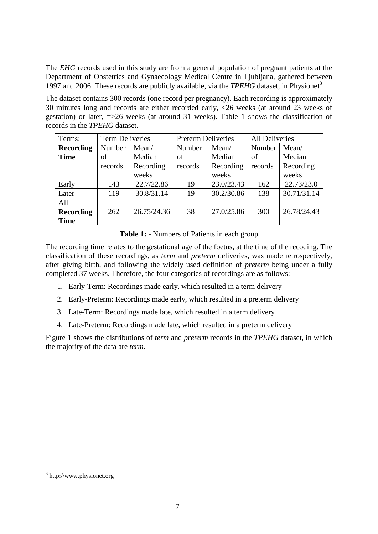The *EHG* records used in this study are from a general population of pregnant patients at the Department of Obstetrics and Gynaecology Medical Centre in Ljubljana, gathered between 1997 and 2006. These records are publicly available, via the *TPEHG* dataset, in Physionet<sup>3</sup>.

The dataset contains 300 records (one record per pregnancy). Each recording is approximately 30 minutes long and records are either recorded early, <26 weeks (at around 23 weeks of gestation) or later,  $\approx$  26 weeks (at around 31 weeks). Table 1 shows the classification of records in the *TPEHG* dataset.

| Terms:           | <b>Term Deliveries</b> |             | <b>Preterm Deliveries</b> |            | <b>All Deliveries</b> |             |
|------------------|------------------------|-------------|---------------------------|------------|-----------------------|-------------|
| <b>Recording</b> | Number                 | Mean/       | Number                    | Mean/      | Number                | Mean/       |
| <b>Time</b>      | οf                     | Median      | of                        | Median     | of                    | Median      |
|                  | records                | Recording   | records                   | Recording  | records               | Recording   |
|                  |                        | weeks       |                           | weeks      |                       | weeks       |
| Early            | 143                    | 22.7/22.86  | 19                        | 23.0/23.43 | 162                   | 22.73/23.0  |
| Later            | 119                    | 30.8/31.14  | 19                        | 30.2/30.86 | 138                   | 30.71/31.14 |
| All              |                        |             |                           |            |                       |             |
| <b>Recording</b> | 262                    | 26.75/24.36 | 38                        | 27.0/25.86 | 300                   | 26.78/24.43 |
| <b>Time</b>      |                        |             |                           |            |                       |             |

**Table 1:** - Numbers of Patients in each group

The recording time relates to the gestational age of the foetus, at the time of the recoding. The classification of these recordings, as *term* and *preterm* deliveries, was made retrospectively, after giving birth, and following the widely used definition of *preterm* being under a fully completed 37 weeks. Therefore, the four categories of recordings are as follows:

- 1. Early-Term: Recordings made early, which resulted in a term delivery
- 2. Early-Preterm: Recordings made early, which resulted in a preterm delivery
- 3. Late-Term: Recordings made late, which resulted in a term delivery
- 4. Late-Preterm: Recordings made late, which resulted in a preterm delivery

Figure 1 shows the distributions of *term* and *preterm* records in the *TPEHG* dataset, in which the majority of the data are *term*.

1

<sup>3</sup> http://www.physionet.org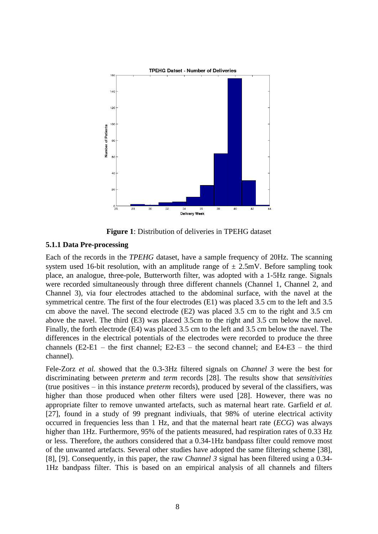

**Figure 1**: Distribution of deliveries in TPEHG dataset

#### **5.1.1 Data Pre-processing**

Each of the records in the *TPEHG* dataset, have a sample frequency of 20Hz. The scanning system used 16-bit resolution, with an amplitude range of  $\pm$  2.5mV. Before sampling took place, an analogue, three-pole, Butterworth filter, was adopted with a 1-5Hz range. Signals were recorded simultaneously through three different channels (Channel 1, Channel 2, and Channel 3), via four electrodes attached to the abdominal surface, with the navel at the symmetrical centre. The first of the four electrodes (E1) was placed 3.5 cm to the left and 3.5 cm above the navel. The second electrode (E2) was placed 3.5 cm to the right and 3.5 cm above the navel. The third (E3) was placed 3.5cm to the right and 3.5 cm below the navel. Finally, the forth electrode (E4) was placed 3.5 cm to the left and 3.5 cm below the navel. The differences in the electrical potentials of the electrodes were recorded to produce the three channels  $(E2-E1 -$  the first channel;  $E2-E3 -$  the second channel; and  $E4-E3 -$  the third channel).

Fele-Zorz *et al.* showed that the 0.3-3Hz filtered signals on *Channel 3* were the best for discriminating between *preterm* and *term* records [28]. The results show that *sensitivities* (true positives – in this instance *preterm* records), produced by several of the classifiers, was higher than those produced when other filters were used [28]. However, there was no appropriate filter to remove unwanted artefacts, such as maternal heart rate. Garfield *et al.*  [27], found in a study of 99 pregnant indiviuals, that 98% of uterine electrical activity occurred in frequencies less than 1 Hz, and that the maternal heart rate (*ECG*) was always higher than 1Hz. Furthermore, 95% of the patients measured, had respiration rates of 0.33 Hz or less. Therefore, the authors considered that a 0.34-1Hz bandpass filter could remove most of the unwanted artefacts. Several other studies have adopted the same filtering scheme [38], [8], [9]. Consequently, in this paper, the raw *Channel 3* signal has been filtered using a 0.34- 1Hz bandpass filter. This is based on an empirical analysis of all channels and filters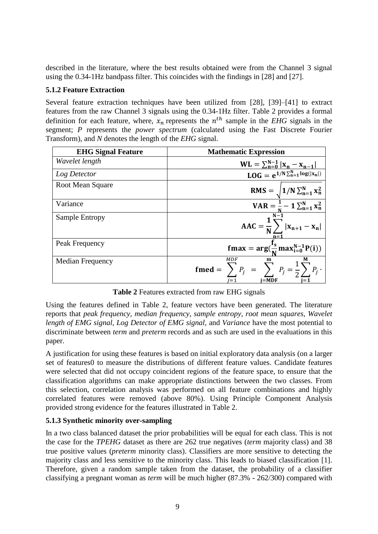described in the literature, where the best results obtained were from the Channel 3 signal using the 0.34-1Hz bandpass filter. This coincides with the findings in [28] and [27].

### **5.1.2 Feature Extraction**

Several feature extraction techniques have been utilized from [28], [39]–[41] to extract features from the raw Channel 3 signals using the 0.34-1Hz filter. Table 2 provides a formal definition for each feature, where,  $x_n$  represents the  $n^{th}$  sample in the *EHG* signals in the segment; *P* represents the *power spectrum* (calculated using the Fast Discrete Fourier Transform), and *N* denotes the length of the *EHG* signal.

| <b>EHG Signal Feature</b> | <b>Mathematic Expression</b>                                                                                         |
|---------------------------|----------------------------------------------------------------------------------------------------------------------|
| Wavelet length            | $WL = \sum_{n=0}^{N-1}  X_n - X_{n-1} $                                                                              |
| Log Detector              | $LOG = e^{1/N\sum_{n=1}^{N}log( x_n )}$                                                                              |
| Root Mean Square          | RMS = $\sqrt{1/N} \sum_{n=1}^{N} x_n^2$                                                                              |
| Variance                  | $VAR = \frac{1}{N} - 1\sum_{n=1}^{N} x_n^2$                                                                          |
| Sample Entropy            | $N-1$<br>$\text{AAC} = \frac{1}{N} \sum_{n=1}^{N}  x_{n+1} - x_n $                                                   |
| Peak Frequency            | f max = $arg(\frac{I_s}{N}max_{i=0}^{N-1}P(i))$                                                                      |
| Median Frequency          | <b>MDF</b><br>m<br><b>fined</b> = $\sum_{i} P_i = \sum_{i} P_i = \frac{1}{2} \sum_{i} P_i$ .<br>$i = \overline{MDF}$ |

**Table 2** Features extracted from raw EHG signals

Using the features defined in Table 2, feature vectors have been generated. The literature reports that *peak frequency*, *median frequency*, *sample entropy*, *root mean squares, Wavelet length of EMG signal, Log Detector of EMG signal,* and *Variance* have the most potential to discriminate between *term* and *preterm* records and as such are used in the evaluations in this paper.

A justification for using these features is based on initial exploratory data analysis (on a larger set of features0 to measure the distributions of different feature values. Candidate features were selected that did not occupy coincident regions of the feature space, to ensure that the classification algorithms can make appropriate distinctions between the two classes. From this selection, correlation analysis was performed on all feature combinations and highly correlated features were removed (above 80%). Using Principle Component Analysis provided strong evidence for the features illustrated in Table 2.

## **5.1.3 Synthetic minority over-sampling**

In a two class balanced dataset the prior probabilities will be equal for each class. This is not the case for the *TPEHG* dataset as there are 262 true negatives (*term* majority class) and 38 true positive values (*preterm* minority class). Classifiers are more sensitive to detecting the majority class and less sensitive to the minority class. This leads to biased classification [1]. Therefore, given a random sample taken from the dataset, the probability of a classifier classifying a pregnant woman as *term* will be much higher (87.3% - 262/300) compared with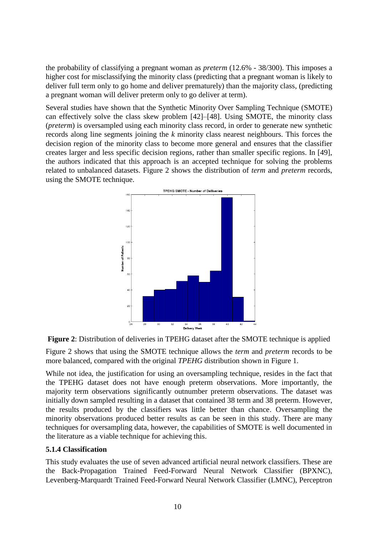the probability of classifying a pregnant woman as *preterm* (12.6% - 38/300). This imposes a higher cost for misclassifying the minority class (predicting that a pregnant woman is likely to deliver full term only to go home and deliver prematurely) than the majority class, (predicting a pregnant woman will deliver preterm only to go deliver at term).

Several studies have shown that the Synthetic Minority Over Sampling Technique (SMOTE) can effectively solve the class skew problem [42]–[48]. Using SMOTE, the minority class (*preterm*) is oversampled using each minority class record, in order to generate new synthetic records along line segments joining the *k* minority class nearest neighbours. This forces the decision region of the minority class to become more general and ensures that the classifier creates larger and less specific decision regions, rather than smaller specific regions. In [49], the authors indicated that this approach is an accepted technique for solving the problems related to unbalanced datasets. Figure 2 shows the distribution of *term* and *preterm* records, using the SMOTE technique.





Figure 2 shows that using the SMOTE technique allows the *term* and *preterm* records to be more balanced, compared with the original *TPEHG* distribution shown in Figure 1.

While not idea, the justification for using an oversampling technique, resides in the fact that the TPEHG dataset does not have enough preterm observations. More importantly, the majority term observations significantly outnumber preterm observations. The dataset was initially down sampled resulting in a dataset that contained 38 term and 38 preterm. However, the results produced by the classifiers was little better than chance. Oversampling the minority observations produced better results as can be seen in this study. There are many techniques for oversampling data, however, the capabilities of SMOTE is well documented in the literature as a viable technique for achieving this.

#### **5.1.4 Classification**

This study evaluates the use of seven advanced artificial neural network classifiers. These are the Back-Propagation Trained Feed-Forward Neural Network Classifier (BPXNC), Levenberg-Marquardt Trained Feed-Forward Neural Network Classifier (LMNC), Perceptron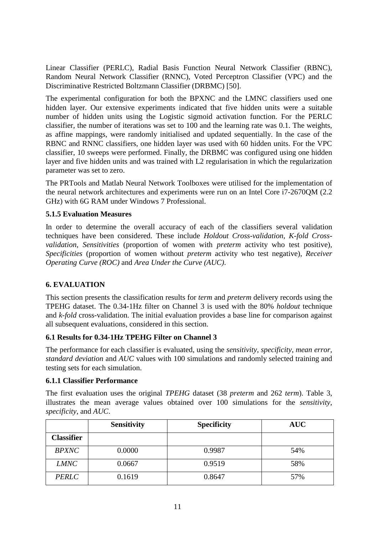Linear Classifier (PERLC), Radial Basis Function Neural Network Classifier (RBNC), Random Neural Network Classifier (RNNC), Voted Perceptron Classifier (VPC) and the Discriminative Restricted Boltzmann Classifier (DRBMC) [50].

The experimental configuration for both the BPXNC and the LMNC classifiers used one hidden layer. Our extensive experiments indicated that five hidden units were a suitable number of hidden units using the Logistic sigmoid activation function. For the PERLC classifier, the number of iterations was set to 100 and the learning rate was 0.1. The weights, as affine mappings, were randomly initialised and updated sequentially. In the case of the RBNC and RNNC classifiers, one hidden layer was used with 60 hidden units. For the VPC classifier, 10 sweeps were performed. Finally, the DRBMC was configured using one hidden layer and five hidden units and was trained with L2 regularisation in which the regularization parameter was set to zero.

The PRTools and Matlab Neural Network Toolboxes were utilised for the implementation of the neural network architectures and experiments were run on an Intel Core i7-2670QM (2.2 GHz) with 6G RAM under Windows 7 Professional.

#### **5.1.5 Evaluation Measures**

In order to determine the overall accuracy of each of the classifiers several validation techniques have been considered. These include *Holdout Cross-validation*, *K-fold Crossvalidation*, *Sensitivities* (proportion of women with *preterm* activity who test positive)*, Specificities* (proportion of women without *preterm* activity who test negative)*, Receiver Operating Curve (ROC)* and *Area Under the Curve (AUC)*.

#### **6. EVALUATION**

This section presents the classification results for *term* and *preterm* delivery records using the TPEHG dataset. The 0.34-1Hz filter on Channel 3 is used with the 80% *holdout* technique and *k-fold* cross-validation. The initial evaluation provides a base line for comparison against all subsequent evaluations, considered in this section.

#### **6.1 Results for 0.34-1Hz TPEHG Filter on Channel 3**

The performance for each classifier is evaluated, using the *sensitivity*, *specificity*, *mean error*, *standard deviation* and *AUC* values with 100 simulations and randomly selected training and testing sets for each simulation.

#### **6.1.1 Classifier Performance**

The first evaluation uses the original *TPEHG* dataset (38 *preterm* and 262 *term*). Table 3, illustrates the mean average values obtained over 100 simulations for the *sensitivity*, *specificity*, and *AUC*.

|              | <b>Sensitivity</b> | <b>Specificity</b> | <b>AUC</b> |
|--------------|--------------------|--------------------|------------|
| Classifier   |                    |                    |            |
| <b>BPXNC</b> | 0.0000             | 0.9987             | 54%        |
| <b>LMNC</b>  | 0.0667             | 0.9519             | 58%        |
| <b>PERLC</b> | 0.1619             | 0.8647             | 57%        |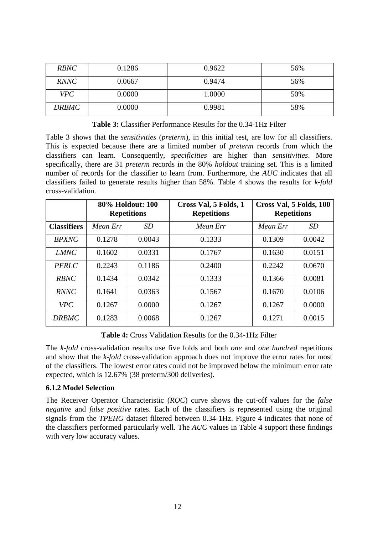| <b>RBNC</b>  | 0.1286 | 0.9622 | 56% |
|--------------|--------|--------|-----|
| RNNC         | 0.0667 | 0.9474 | 56% |
| <b>VPC</b>   | 0.0000 | 1.0000 | 50% |
| <b>DRBMC</b> | 0.0000 | 0.9981 | 58% |

| <b>Table 3:</b> Classifier Performance Results for the 0.34-1Hz Filter |
|------------------------------------------------------------------------|
|------------------------------------------------------------------------|

Table 3 shows that the *sensitivities* (*preterm*), in this initial test, are low for all classifiers. This is expected because there are a limited number of *preterm* records from which the classifiers can learn. Consequently, *specificities* are higher than *sensitivities*. More specifically, there are 31 *preterm* records in the 80% *holdout* training set. This is a limited number of records for the classifier to learn from. Furthermore, the *AUC* indicates that all classifiers failed to generate results higher than 58%. Table 4 shows the results for *k-fold* cross-validation.

|                    | 80% Holdout: 100<br><b>Repetitions</b> |        | Cross Val, 5 Folds, 1<br><b>Repetitions</b> | Cross Val, 5 Folds, 100<br><b>Repetitions</b> |        |
|--------------------|----------------------------------------|--------|---------------------------------------------|-----------------------------------------------|--------|
| <b>Classifiers</b> | Mean Err                               | SD     | Mean Err                                    | Mean Err                                      | SD     |
| <b>BPXNC</b>       | 0.1278                                 | 0.0043 | 0.1333                                      | 0.1309                                        | 0.0042 |
| <b>LMNC</b>        | 0.1602                                 | 0.0331 | 0.1767                                      | 0.1630                                        | 0.0151 |
| <b>PERLC</b>       | 0.2243                                 | 0.1186 | 0.2400                                      | 0.2242                                        | 0.0670 |
| <b>RBNC</b>        | 0.1434                                 | 0.0342 | 0.1333                                      | 0.1366                                        | 0.0081 |
| <b>RNNC</b>        | 0.1641                                 | 0.0363 | 0.1567                                      | 0.1670                                        | 0.0106 |
| <b>VPC</b>         | 0.1267                                 | 0.0000 | 0.1267                                      | 0.1267                                        | 0.0000 |
| <b>DRBMC</b>       | 0.1283                                 | 0.0068 | 0.1267                                      | 0.1271                                        | 0.0015 |

**Table 4:** Cross Validation Results for the 0.34-1Hz Filter

The *k-fold* cross-validation results use five folds and both *one* and *one hundred* repetitions and show that the *k-fold* cross-validation approach does not improve the error rates for most of the classifiers. The lowest error rates could not be improved below the minimum error rate expected, which is 12.67% (38 preterm/300 deliveries).

## **6.1.2 Model Selection**

The Receiver Operator Characteristic (*ROC*) curve shows the cut-off values for the *false negative* and *false positive* rates. Each of the classifiers is represented using the original signals from the *TPEHG* dataset filtered between 0.34-1Hz. Figure 4 indicates that none of the classifiers performed particularly well. The *AUC* values in Table 4 support these findings with very low accuracy values.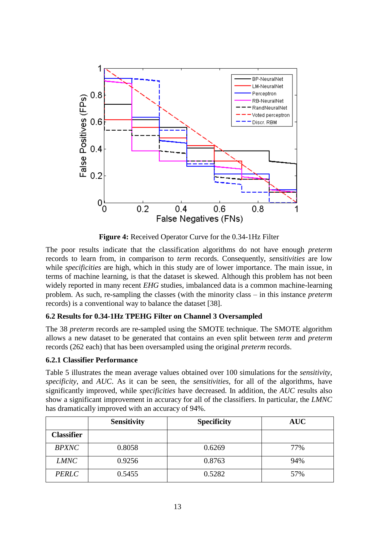

**Figure 4:** Received Operator Curve for the 0.34-1Hz Filter

The poor results indicate that the classification algorithms do not have enough *preterm* records to learn from, in comparison to *term* records. Consequently, *sensitivities* are low while *specificities* are high, which in this study are of lower importance. The main issue, in terms of machine learning, is that the dataset is skewed. Although this problem has not been widely reported in many recent *EHG* studies, imbalanced data is a common machine-learning problem. As such, re-sampling the classes (with the minority class – in this instance *preterm* records) is a conventional way to balance the dataset [38].

## **6.2 Results for 0.34-1Hz TPEHG Filter on Channel 3 Oversampled**

The 38 *preterm* records are re-sampled using the SMOTE technique. The SMOTE algorithm allows a new dataset to be generated that contains an even split between *term* and *preterm* records (262 each) that has been oversampled using the original *preterm* records.

#### **6.2.1 Classifier Performance**

Table 5 illustrates the mean average values obtained over 100 simulations for the *sensitivity*, *specificity*, and *AUC*. As it can be seen, the *sensitivities*, for all of the algorithms, have significantly improved, while *specificities* have decreased. In addition, the *AUC* results also show a significant improvement in accuracy for all of the classifiers. In particular, the *LMNC*  has dramatically improved with an accuracy of 94%.

|              | <b>Sensitivity</b> | <b>Specificity</b> | <b>AUC</b> |
|--------------|--------------------|--------------------|------------|
| Classifier   |                    |                    |            |
| <b>BPXNC</b> | 0.8058             | 0.6269             | 77%        |
| <b>LMNC</b>  | 0.9256             | 0.8763             | 94%        |
| <b>PERLC</b> | 0.5455             | 0.5282             | 57%        |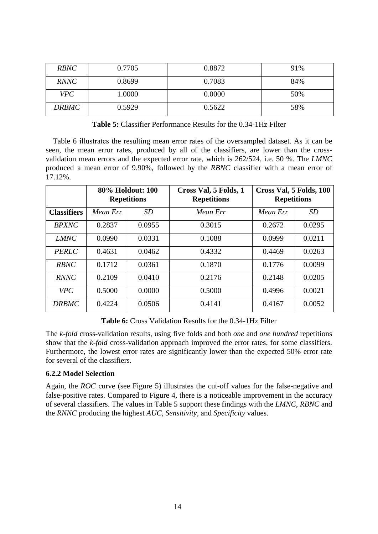| RBNC         | 0.7705 | 0.8872 | 91% |
|--------------|--------|--------|-----|
| RNNC         | 0.8699 | 0.7083 | 84% |
| VPC          | 1.0000 | 0.0000 | 50% |
| <b>DRBMC</b> | 0.5929 | 0.5622 | 58% |

**Table 5:** Classifier Performance Results for the 0.34-1Hz Filter

Table 6 illustrates the resulting mean error rates of the oversampled dataset. As it can be seen, the mean error rates, produced by all of the classifiers, are lower than the crossvalidation mean errors and the expected error rate, which is 262/524, i.e. 50 %. The *LMNC*  produced a mean error of 9.90%, followed by the *RBNC* classifier with a mean error of 17.12%.

|                    | 80% Holdout: 100<br><b>Repetitions</b> |        | Cross Val, 5 Folds, 1<br><b>Repetitions</b> | Cross Val, 5 Folds, 100<br><b>Repetitions</b> |           |
|--------------------|----------------------------------------|--------|---------------------------------------------|-----------------------------------------------|-----------|
| <b>Classifiers</b> | Mean Err                               | SD     | Mean Err                                    | Mean Err                                      | <b>SD</b> |
| <b>BPXNC</b>       | 0.2837                                 | 0.0955 | 0.3015                                      | 0.2672                                        | 0.0295    |
| <b>LMNC</b>        | 0.0990                                 | 0.0331 | 0.1088                                      | 0.0999                                        | 0.0211    |
| <b>PERLC</b>       | 0.4631                                 | 0.0462 | 0.4332                                      | 0.4469                                        | 0.0263    |
| <b>RBNC</b>        | 0.1712                                 | 0.0361 | 0.1870                                      | 0.1776                                        | 0.0099    |
| <b>RNNC</b>        | 0.2109                                 | 0.0410 | 0.2176                                      | 0.2148                                        | 0.0205    |
| <b>VPC</b>         | 0.5000                                 | 0.0000 | 0.5000                                      | 0.4996                                        | 0.0021    |
| <b>DRBMC</b>       | 0.4224                                 | 0.0506 | 0.4141                                      | 0.4167                                        | 0.0052    |

**Table 6:** Cross Validation Results for the 0.34-1Hz Filter

The *k-fold* cross-validation results, using five folds and both *one* and *one hundred* repetitions show that the *k-fold* cross-validation approach improved the error rates, for some classifiers. Furthermore, the lowest error rates are significantly lower than the expected 50% error rate for several of the classifiers.

## **6.2.2 Model Selection**

Again, the *ROC* curve (see Figure 5) illustrates the cut-off values for the false-negative and false-positive rates. Compared to Figure 4, there is a noticeable improvement in the accuracy of several classifiers. The values in Table 5 support these findings with the *LMNC*, *RBNC* and the *RNNC* producing the highest *AUC*, *Sensitivity*, and *Specificity* values.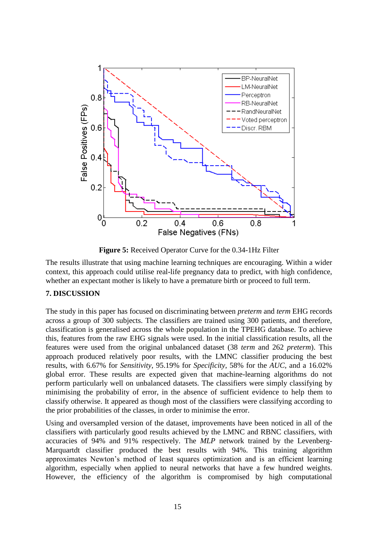

**Figure 5:** Received Operator Curve for the 0.34-1Hz Filter

The results illustrate that using machine learning techniques are encouraging. Within a wider context, this approach could utilise real-life pregnancy data to predict, with high confidence, whether an expectant mother is likely to have a premature birth or proceed to full term.

#### **7. DISCUSSION**

The study in this paper has focused on discriminating between *preterm* and *term* EHG records across a group of 300 subjects. The classifiers are trained using 300 patients, and therefore, classification is generalised across the whole population in the TPEHG database. To achieve this, features from the raw EHG signals were used. In the initial classification results, all the features were used from the original unbalanced dataset (38 *term* and 262 *preterm*). This approach produced relatively poor results, with the LMNC classifier producing the best results, with 6.67% for *Sensitivity*, 95.19% for *Specificity*, 58% for the *AUC*, and a 16.02% global error. These results are expected given that machine-learning algorithms do not perform particularly well on unbalanced datasets. The classifiers were simply classifying by minimising the probability of error, in the absence of sufficient evidence to help them to classify otherwise. It appeared as though most of the classifiers were classifying according to the prior probabilities of the classes, in order to minimise the error.

Using and oversampled version of the dataset, improvements have been noticed in all of the classifiers with particularly good results achieved by the LMNC and RBNC classifiers, with accuracies of 94% and 91% respectively. The *MLP* network trained by the Levenberg-Marquartdt classifier produced the best results with 94%. This training algorithm approximates Newton's method of least squares optimization and is an efficient learning algorithm, especially when applied to neural networks that have a few hundred weights. However, the efficiency of the algorithm is compromised by high computational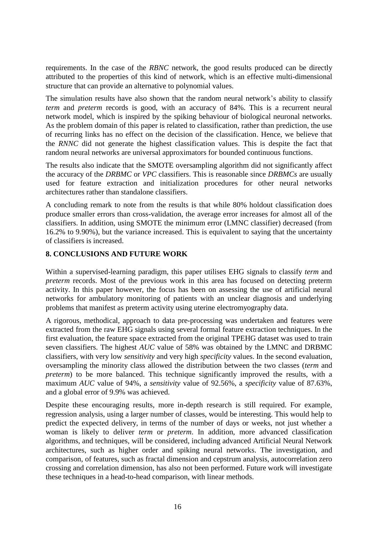requirements. In the case of the *RBNC* network, the good results produced can be directly attributed to the properties of this kind of network, which is an effective multi-dimensional structure that can provide an alternative to polynomial values.

The simulation results have also shown that the random neural network's ability to classify *term* and *preterm* records is good, with an accuracy of 84%. This is a recurrent neural network model, which is inspired by the spiking behaviour of biological neuronal networks. As the problem domain of this paper is related to classification, rather than prediction, the use of recurring links has no effect on the decision of the classification. Hence, we believe that the *RNNC* did not generate the highest classification values. This is despite the fact that random neural networks are universal approximators for bounded continuous functions.

The results also indicate that the SMOTE oversampling algorithm did not significantly affect the accuracy of the *DRBMC* or *VPC* classifiers. This is reasonable since *DRBMCs* are usually used for feature extraction and initialization procedures for other neural networks architectures rather than standalone classifiers.

A concluding remark to note from the results is that while 80% holdout classification does produce smaller errors than cross-validation, the average error increases for almost all of the classifiers. In addition, using SMOTE the minimum error (LMNC classifier) decreased (from 16.2% to 9.90%), but the variance increased. This is equivalent to saying that the uncertainty of classifiers is increased.

### **8. CONCLUSIONS AND FUTURE WORK**

Within a supervised-learning paradigm, this paper utilises EHG signals to classify *term* and *preterm* records. Most of the previous work in this area has focused on detecting preterm activity. In this paper however, the focus has been on assessing the use of artificial neural networks for ambulatory monitoring of patients with an unclear diagnosis and underlying problems that manifest as preterm activity using uterine electromyography data.

A rigorous, methodical, approach to data pre-processing was undertaken and features were extracted from the raw EHG signals using several formal feature extraction techniques. In the first evaluation, the feature space extracted from the original TPEHG dataset was used to train seven classifiers. The highest *AUC* value of 58% was obtained by the LMNC and DRBMC classifiers, with very low *sensitivity* and very high *specificity* values. In the second evaluation, oversampling the minority class allowed the distribution between the two classes (*term* and *preterm*) to be more balanced. This technique significantly improved the results, with a maximum *AUC* value of 94%, a *sensitivity* value of 92.56%, a *specificity* value of 87.63%, and a global error of 9.9% was achieved.

Despite these encouraging results, more in-depth research is still required. For example, regression analysis, using a larger number of classes, would be interesting. This would help to predict the expected delivery, in terms of the number of days or weeks, not just whether a woman is likely to deliver *term* or *preterm*. In addition, more advanced classification algorithms, and techniques, will be considered, including advanced Artificial Neural Network architectures, such as higher order and spiking neural networks. The investigation, and comparison, of features, such as fractal dimension and cepstrum analysis, autocorrelation zero crossing and correlation dimension, has also not been performed. Future work will investigate these techniques in a head-to-head comparison, with linear methods.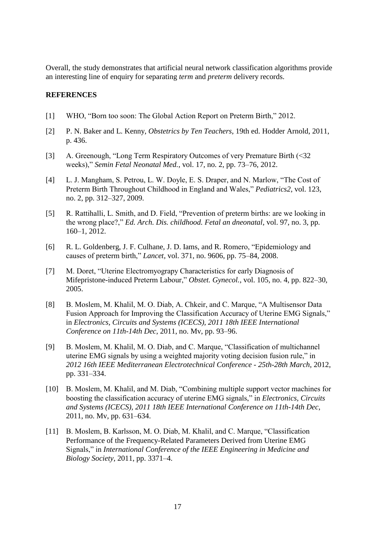Overall, the study demonstrates that artificial neural network classification algorithms provide an interesting line of enquiry for separating *term* and *preterm* delivery records.

#### **REFERENCES**

- [1] WHO, "Born too soon: The Global Action Report on Preterm Birth," 2012.
- [2] P. N. Baker and L. Kenny, *Obstetrics by Ten Teachers*, 19th ed. Hodder Arnold, 2011, p. 436.
- [3] A. Greenough, "Long Term Respiratory Outcomes of very Premature Birth (<32 weeks)," *Semin Fetal Neonatal Med.*, vol. 17, no. 2, pp. 73–76, 2012.
- [4] L. J. Mangham, S. Petrou, L. W. Doyle, E. S. Draper, and N. Marlow, "The Cost of Preterm Birth Throughout Childhood in England and Wales," *Pediatrics2*, vol. 123, no. 2, pp. 312–327, 2009.
- [5] R. Rattihalli, L. Smith, and D. Field, "Prevention of preterm births: are we looking in the wrong place?," *Ed. Arch. Dis. childhood. Fetal an dneonatal*, vol. 97, no. 3, pp. 160–1, 2012.
- [6] R. L. Goldenberg, J. F. Culhane, J. D. Iams, and R. Romero, "Epidemiology and causes of preterm birth," *Lancet*, vol. 371, no. 9606, pp. 75–84, 2008.
- [7] M. Doret, "Uterine Electromyograpy Characteristics for early Diagnosis of Mifepristone-induced Preterm Labour," *Obstet. Gynecol.*, vol. 105, no. 4, pp. 822–30, 2005.
- [8] B. Moslem, M. Khalil, M. O. Diab, A. Chkeir, and C. Marque, "A Multisensor Data Fusion Approach for Improving the Classification Accuracy of Uterine EMG Signals," in *Electronics, Circuits and Systems (ICECS), 2011 18th IEEE International Conference on 11th-14th Dec*, 2011, no. Mv, pp. 93–96.
- [9] B. Moslem, M. Khalil, M. O. Diab, and C. Marque, "Classification of multichannel uterine EMG signals by using a weighted majority voting decision fusion rule," in *2012 16th IEEE Mediterranean Electrotechnical Conference - 25th-28th March*, 2012, pp. 331–334.
- [10] B. Moslem, M. Khalil, and M. Diab, "Combining multiple support vector machines for boosting the classification accuracy of uterine EMG signals," in *Electronics, Circuits and Systems (ICECS), 2011 18th IEEE International Conference on 11th-14th Dec*, 2011, no. Mv, pp. 631–634.
- [11] B. Moslem, B. Karlsson, M. O. Diab, M. Khalil, and C. Marque, "Classification" Performance of the Frequency-Related Parameters Derived from Uterine EMG Signals," in *International Conference of the IEEE Engineering in Medicine and Biology Society*, 2011, pp. 3371–4.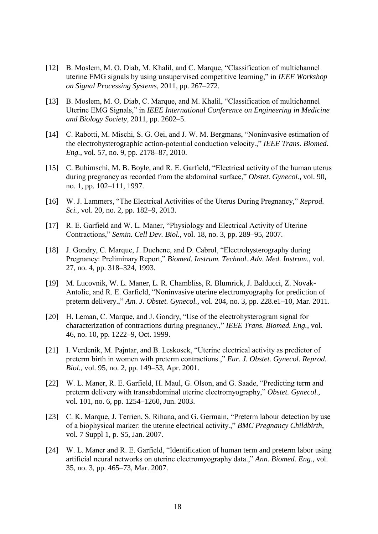- [12] B. Moslem, M. O. Diab, M. Khalil, and C. Marque, "Classification of multichannel uterine EMG signals by using unsupervised competitive learning," in *IEEE Workshop on Signal Processing Systems*, 2011, pp. 267–272.
- [13] B. Moslem, M. O. Diab, C. Marque, and M. Khalil, "Classification of multichannel Uterine EMG Signals," in *IEEE International Conference on Engineering in Medicine and Biology Society*, 2011, pp. 2602–5.
- [14] C. Rabotti, M. Mischi, S. G. Oei, and J. W. M. Bergmans, "Noninvasive estimation of the electrohysterographic action-potential conduction velocity.," *IEEE Trans. Biomed. Eng.*, vol. 57, no. 9, pp. 2178–87, 2010.
- [15] C. Buhimschi, M. B. Boyle, and R. E. Garfield, "Electrical activity of the human uterus during pregnancy as recorded from the abdominal surface," *Obstet. Gynecol.*, vol. 90, no. 1, pp. 102–111, 1997.
- [16] W. J. Lammers, "The Electrical Activities of the Uterus During Pregnancy," *Reprod. Sci.*, vol. 20, no. 2, pp. 182–9, 2013.
- [17] R. E. Garfield and W. L. Maner, "Physiology and Electrical Activity of Uterine Contractions," *Semin. Cell Dev. Biol.*, vol. 18, no. 3, pp. 289–95, 2007.
- [18] J. Gondry, C. Marque, J. Duchene, and D. Cabrol, "Electrohysterography during Pregnancy: Preliminary Report," *Biomed. Instrum. Technol. Adv. Med. Instrum.*, vol. 27, no. 4, pp. 318–324, 1993.
- [19] M. Lucovnik, W. L. Maner, L. R. Chambliss, R. Blumrick, J. Balducci, Z. Novak-Antolic, and R. E. Garfield, "Noninvasive uterine electromyography for prediction of preterm delivery.," *Am. J. Obstet. Gynecol.*, vol. 204, no. 3, pp. 228.e1–10, Mar. 2011.
- [20] H. Leman, C. Marque, and J. Gondry, "Use of the electrohysterogram signal for characterization of contractions during pregnancy.," *IEEE Trans. Biomed. Eng.*, vol. 46, no. 10, pp. 1222–9, Oct. 1999.
- [21] I. Verdenik, M. Pajntar, and B. Leskosek, "Uterine electrical activity as predictor of preterm birth in women with preterm contractions.," *Eur. J. Obstet. Gynecol. Reprod. Biol.*, vol. 95, no. 2, pp. 149–53, Apr. 2001.
- [22] W. L. Maner, R. E. Garfield, H. Maul, G. Olson, and G. Saade, "Predicting term and preterm delivery with transabdominal uterine electromyography," *Obstet. Gynecol.*, vol. 101, no. 6, pp. 1254–1260, Jun. 2003.
- [23] C. K. Marque, J. Terrien, S. Rihana, and G. Germain, "Preterm labour detection by use of a biophysical marker: the uterine electrical activity.," *BMC Pregnancy Childbirth*, vol. 7 Suppl 1, p. S5, Jan. 2007.
- [24] W. L. Maner and R. E. Garfield, "Identification of human term and preterm labor using artificial neural networks on uterine electromyography data.," *Ann. Biomed. Eng.*, vol. 35, no. 3, pp. 465–73, Mar. 2007.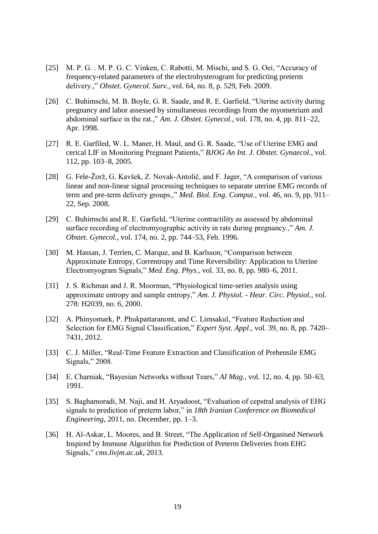- [25] M. P. G. . M. P. G. C. Vinken, C. Rabotti, M. Mischi, and S. G. Oei, "Accuracy of frequency-related parameters of the electrohysterogram for predicting preterm delivery.," *Obstet. Gynecol. Surv.*, vol. 64, no. 8, p. 529, Feb. 2009.
- [26] C. Buhimschi, M. B. Boyle, G. R. Saade, and R. E. Garfield, "Uterine activity during pregnancy and labor assessed by simultaneous recordings from the myometrium and abdominal surface in the rat.," *Am. J. Obstet. Gynecol.*, vol. 178, no. 4, pp. 811–22, Apr. 1998.
- [27] R. E. Garfiled, W. L. Maner, H. Maul, and G. R. Saade, "Use of Uterine EMG and cerical LIF in Monitoring Pregnant Patients," *BJOG An Int. J. Obstet. Gynaecol.*, vol. 112, pp. 103–8, 2005.
- [28] G. Fele-Žorž, G. Kavšek, Z. Novak-Antolič, and F. Jager, "A comparison of various linear and non-linear signal processing techniques to separate uterine EMG records of term and pre-term delivery groups.," *Med. Biol. Eng. Comput.*, vol. 46, no. 9, pp. 911– 22, Sep. 2008.
- [29] C. Buhimschi and R. E. Garfield, "Uterine contractility as assessed by abdominal surface recording of electromyographic activity in rats during pregnancy.," *Am. J. Obstet. Gynecol.*, vol. 174, no. 2, pp. 744–53, Feb. 1996.
- [30] M. Hassan, J. Terrien, C. Marque, and B. Karlsson, "Comparison between Approximate Entropy, Correntropy and Time Reversibility: Application to Uterine Electromyogram Signals," *Med. Eng. Phys.*, vol. 33, no. 8, pp. 980–6, 2011.
- [31] J. S. Richman and J. R. Moorman, "Physiological time-series analysis using approximate entropy and sample entropy," *Am. J. Physiol. - Hear. Circ. Physiol.*, vol. 278: H2039, no. 6, 2000.
- [32] A. Phinyomark, P. Phukpattaranont, and C. Limsakul, "Feature Reduction and Selection for EMG Signal Classification," *Expert Syst. Appl.*, vol. 39, no. 8, pp. 7420– 7431, 2012.
- [33] C. J. Miller, "Real-Time Feature Extraction and Classification of Prehensile EMG Signals," 2008.
- [34] E. Charniak, "Bayesian Networks without Tears," *AI Mag.*, vol. 12, no. 4, pp. 50–63, 1991.
- [35] S. Baghamoradi, M. Naji, and H. Aryadoost, "Evaluation of cepstral analysis of EHG signals to prediction of preterm labor," in *18th Iranian Conference on Biomedical Engineering*, 2011, no. December, pp. 1–3.
- [36] H. Al-Askar, L. Moores, and B. Street, "The Application of Self-Organised Network Inspired by Immune Algorithm for Prediction of Preterm Deliveries from EHG Signals," *cms.livjm.ac.uk*, 2013.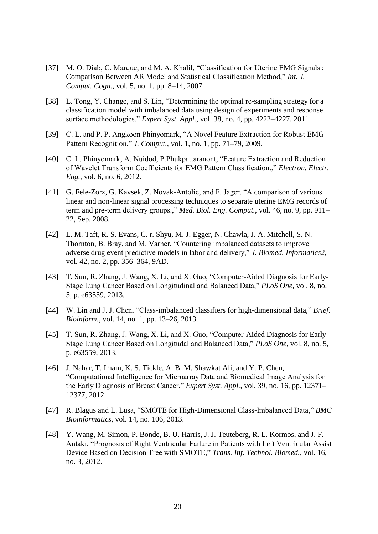- [37] M. O. Diab, C. Marque, and M. A. Khalil, "Classification for Uterine EMG Signals : Comparison Between AR Model and Statistical Classification Method," *Int. J. Comput. Cogn.*, vol. 5, no. 1, pp. 8–14, 2007.
- [38] L. Tong, Y. Change, and S. Lin, "Determining the optimal re-sampling strategy for a classification model with imbalanced data using design of experiments and response surface methodologies," *Expert Syst. Appl.*, vol. 38, no. 4, pp. 4222–4227, 2011.
- [39] C. L. and P. P. Angkoon Phinyomark, "A Novel Feature Extraction for Robust EMG Pattern Recognition," *J. Comput.*, vol. 1, no. 1, pp. 71–79, 2009.
- [40] C. L. Phinyomark, A. Nuidod, P. Phukpattaranont, "Feature Extraction and Reduction of Wavelet Transform Coefficients for EMG Pattern Classification.," *Electron. Electr. Eng.*, vol. 6, no. 6, 2012.
- [41] G. Fele-Zorz, G. Kavsek, Z. Novak-Antolic, and F. Jager, "A comparison of various linear and non-linear signal processing techniques to separate uterine EMG records of term and pre-term delivery groups.," *Med. Biol. Eng. Comput.*, vol. 46, no. 9, pp. 911– 22, Sep. 2008.
- [42] L. M. Taft, R. S. Evans, C. r. Shyu, M. J. Egger, N. Chawla, J. A. Mitchell, S. N. Thornton, B. Bray, and M. Varner, "Countering imbalanced datasets to improve adverse drug event predictive models in labor and delivery," *J. Biomed. Informatics2*, vol. 42, no. 2, pp. 356–364, 9AD.
- [43] T. Sun, R. Zhang, J. Wang, X. Li, and X. Guo, "Computer-Aided Diagnosis for Early-Stage Lung Cancer Based on Longitudinal and Balanced Data," *PLoS One*, vol. 8, no. 5, p. e63559, 2013.
- [44] W. Lin and J. J. Chen, "Class-imbalanced classifiers for high-dimensional data," *Brief. Bioinform.*, vol. 14, no. 1, pp. 13–26, 2013.
- [45] T. Sun, R. Zhang, J. Wang, X. Li, and X. Guo, "Computer-Aided Diagnosis for Early-Stage Lung Cancer Based on Longitudal and Balanced Data," *PLoS One*, vol. 8, no. 5, p. e63559, 2013.
- [46] J. Nahar, T. Imam, K. S. Tickle, A. B. M. Shawkat Ali, and Y. P. Chen, "Computational Intelligence for Microarray Data and Biomedical Image Analysis for the Early Diagnosis of Breast Cancer," *Expert Syst. Appl.*, vol. 39, no. 16, pp. 12371– 12377, 2012.
- [47] R. Blagus and L. Lusa, "SMOTE for High-Dimensional Class-Imbalanced Data," *BMC Bioinformatics*, vol. 14, no. 106, 2013.
- [48] Y. Wang, M. Simon, P. Bonde, B. U. Harris, J. J. Teuteberg, R. L. Kormos, and J. F. Antaki, "Prognosis of Right Ventricular Failure in Patients with Left Ventricular Assist Device Based on Decision Tree with SMOTE," *Trans. Inf. Technol. Biomed.*, vol. 16, no. 3, 2012.